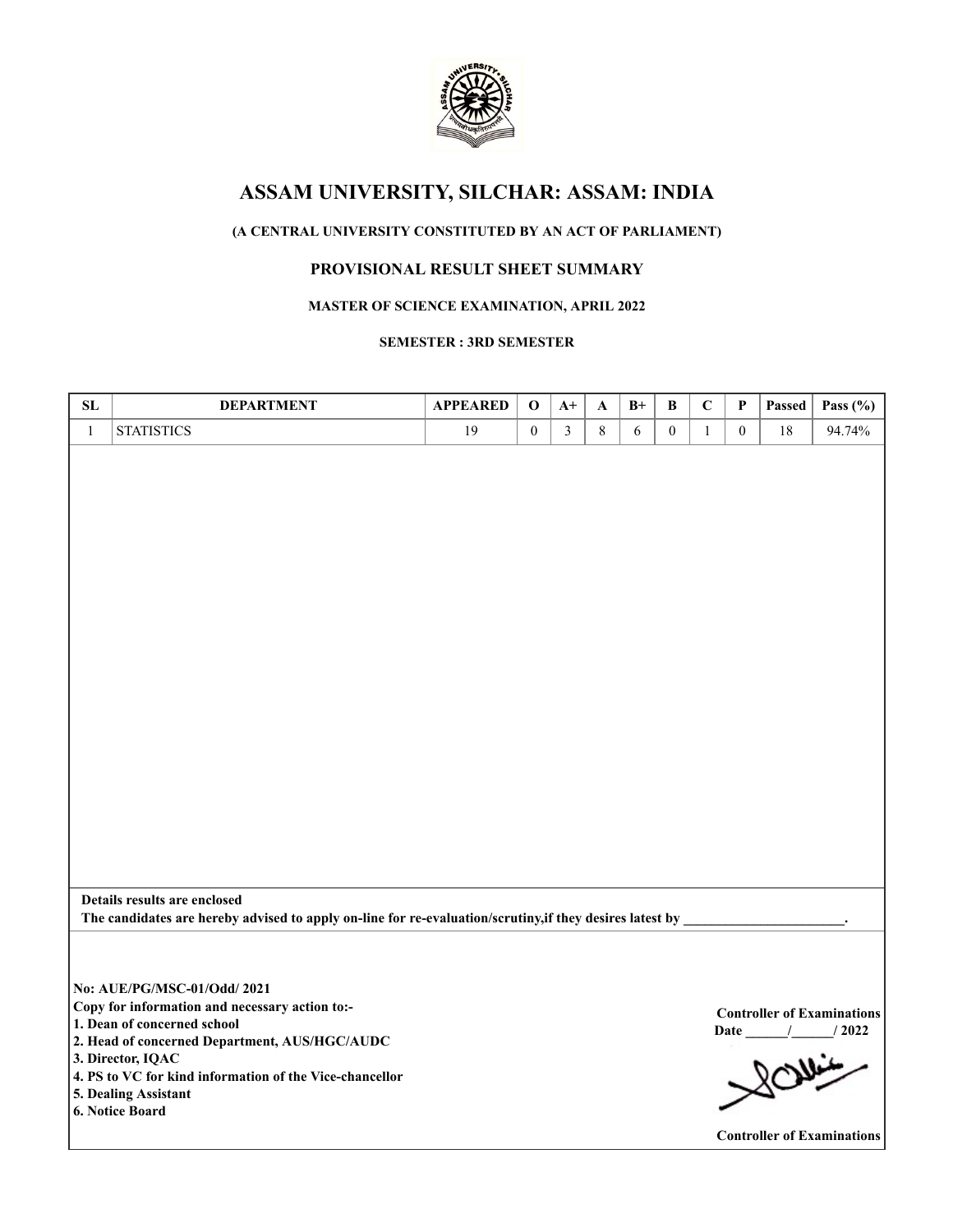

# **ASSAM UNIVERSITY, SILCHAR: ASSAM: INDIA**

# **(A CENTRAL UNIVERSITY CONSTITUTED BY AN ACT OF PARLIAMENT)**

## **PROVISIONAL RESULT SHEET SUMMARY**

### **MASTER OF SCIENCE EXAMINATION, APRIL 2022**

#### **SEMESTER : 3RD SEMESTER**

| SL           | <b>DEPARTMENT</b>                                                                                        | <b>APPEARED</b> | $\mathbf 0$      | $A+$           | A | $B+$       | $\, {\bf B}$   | $\mathbf C$  | P              | Passed | Pass $(\% )$                      |
|--------------|----------------------------------------------------------------------------------------------------------|-----------------|------------------|----------------|---|------------|----------------|--------------|----------------|--------|-----------------------------------|
| $\mathbf{1}$ | <b>STATISTICS</b>                                                                                        | 19              | $\boldsymbol{0}$ | $\overline{3}$ | 8 | $\sqrt{6}$ | $\overline{0}$ | $\mathbf{1}$ | $\overline{0}$ | 18     | 94.74%                            |
|              |                                                                                                          |                 |                  |                |   |            |                |              |                |        |                                   |
|              |                                                                                                          |                 |                  |                |   |            |                |              |                |        |                                   |
|              |                                                                                                          |                 |                  |                |   |            |                |              |                |        |                                   |
|              |                                                                                                          |                 |                  |                |   |            |                |              |                |        |                                   |
|              |                                                                                                          |                 |                  |                |   |            |                |              |                |        |                                   |
|              |                                                                                                          |                 |                  |                |   |            |                |              |                |        |                                   |
|              |                                                                                                          |                 |                  |                |   |            |                |              |                |        |                                   |
|              |                                                                                                          |                 |                  |                |   |            |                |              |                |        |                                   |
|              |                                                                                                          |                 |                  |                |   |            |                |              |                |        |                                   |
|              |                                                                                                          |                 |                  |                |   |            |                |              |                |        |                                   |
|              |                                                                                                          |                 |                  |                |   |            |                |              |                |        |                                   |
|              |                                                                                                          |                 |                  |                |   |            |                |              |                |        |                                   |
|              |                                                                                                          |                 |                  |                |   |            |                |              |                |        |                                   |
|              |                                                                                                          |                 |                  |                |   |            |                |              |                |        |                                   |
|              |                                                                                                          |                 |                  |                |   |            |                |              |                |        |                                   |
|              |                                                                                                          |                 |                  |                |   |            |                |              |                |        |                                   |
|              |                                                                                                          |                 |                  |                |   |            |                |              |                |        |                                   |
|              |                                                                                                          |                 |                  |                |   |            |                |              |                |        |                                   |
|              |                                                                                                          |                 |                  |                |   |            |                |              |                |        |                                   |
|              |                                                                                                          |                 |                  |                |   |            |                |              |                |        |                                   |
|              |                                                                                                          |                 |                  |                |   |            |                |              |                |        |                                   |
|              |                                                                                                          |                 |                  |                |   |            |                |              |                |        |                                   |
|              | Details results are enclosed                                                                             |                 |                  |                |   |            |                |              |                |        |                                   |
|              | The candidates are hereby advised to apply on-line for re-evaluation/scrutiny, if they desires latest by |                 |                  |                |   |            |                |              |                |        |                                   |
|              |                                                                                                          |                 |                  |                |   |            |                |              |                |        |                                   |
|              |                                                                                                          |                 |                  |                |   |            |                |              |                |        |                                   |
|              | No: AUE/PG/MSC-01/Odd/ 2021                                                                              |                 |                  |                |   |            |                |              |                |        |                                   |
|              | Copy for information and necessary action to:-                                                           |                 |                  |                |   |            |                |              |                |        | <b>Controller of Examinations</b> |
|              | 1. Dean of concerned school                                                                              |                 |                  |                |   |            |                |              |                |        | Date / / 2022                     |
|              | 2. Head of concerned Department, AUS/HGC/AUDC                                                            |                 |                  |                |   |            |                |              |                |        | $800 -$                           |
|              | 3. Director, IQAC                                                                                        |                 |                  |                |   |            |                |              |                |        |                                   |
|              | 4. PS to VC for kind information of the Vice-chancellor                                                  |                 |                  |                |   |            |                |              |                |        |                                   |
|              | 5. Dealing Assistant<br>6. Notice Board                                                                  |                 |                  |                |   |            |                |              |                |        |                                   |
|              |                                                                                                          |                 |                  |                |   |            |                |              |                |        |                                   |
|              |                                                                                                          |                 |                  |                |   |            |                |              |                |        | <b>Controller of Examinations</b> |